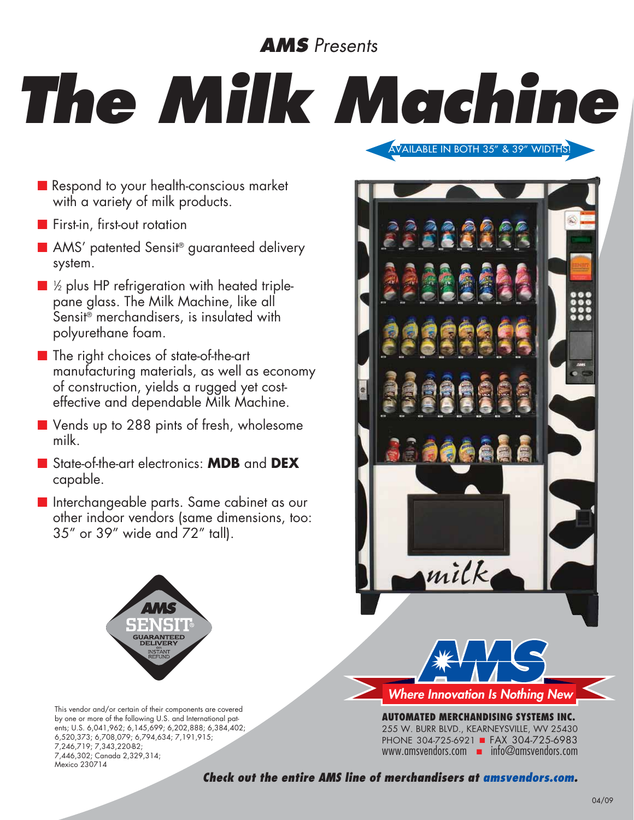## *AMS Presents*

## *The Milk Machine*

- Respond to your health-conscious market with a variety of milk products.
- **n** First-in, first-out rotation
- AMS' patented Sensit<sup>®</sup> guaranteed delivery system.
- $\blacksquare$  ½ plus HP refrigeration with heated triplepane glass. The Milk Machine, like all Sensit<sup>®</sup> merchandisers, is insulated with polyurethane foam.
- $\blacksquare$  The right choices of state-of-the-art manufacturing materials, as well as economy of construction, yields a rugged yet costeffective and dependable Milk Machine.
- Vends up to 288 pints of fresh, wholesome milk.
- n State-of-the-art electronics: **MDB** and **DEX**  capable.
- **n** Interchangeable parts. Same cabinet as our other indoor vendors (same dimensions, too: 35" or 39" wide and 72" tall).



This vendor and/or certain of their components are covered by one or more of the following U.S. and International patents; U.S. 6,041,962; 6,145,699; 6,202,888; 6,384,402; 6,520,373; 6,708,079; 6,794,634; 7,191,915; 7,246,719; 7,343,220-B2; 7,446,302; Canada 2,329,314; Mexico 230714



Available in both 35" & 39" widths!

**AUTOMATED MERCHANDISING SYSTEMs INC.** 255 W. Burr Blvd., Kearneysville, WV 25430 PHONE 304-725-6921 FAX 304-725-6983 www.amsvendors.com  $\blacksquare$  info@amsvendors.com

*Check out the entire AMS line of merchandisers at amsvendors.com.*